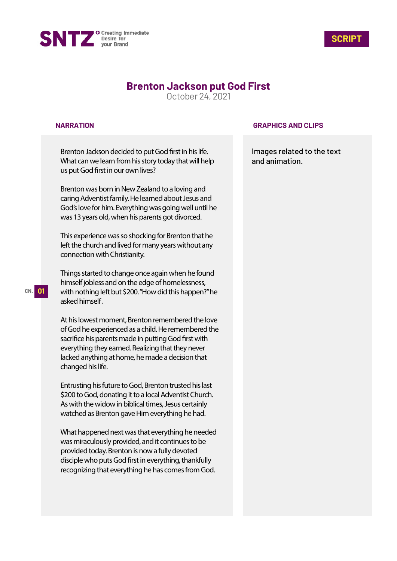



# **Brenton Jackson put God First**

October 24, 2021

### **NARRATION**

Brenton Jackson decided to put God first in his life. What can we learn from his story today that will help us put God first in our own lives?

Brenton was born in New Zealand to a loving and caring Adventist family. He learned about Jesus and God's love for him. Everything was going well until he was 13 years old, when his parents got divorced.

This experience was so shocking for Brenton that he left the church and lived for many years without any connection with Christianity.

Things started to change once again when he found himself jobless and on the edge of homelessness, with nothing left but \$200. "How did this happen?" he asked himself .

At his lowest moment, Brenton remembered the love of God he experienced as a child. He remembered the sacrifice his parents made in putting God first with everything they earned. Realizing that they never lacked anything at home, he made a decision that changed his life.

Entrusting his future to God, Brenton trusted his last \$200 to God, donating it to a local Adventist Church. As with the widow in biblical times, Jesus certainly watched as Brenton gave Him everything he had.

What happened next was that everything he needed was miraculously provided, and it continues to be provided today. Brenton is now a fully devoted disciple who puts God first in everything, thankfully recognizing that everything he has comes from God.

### **GRAPHICS AND CLIPS**

Images related to the text and animation.